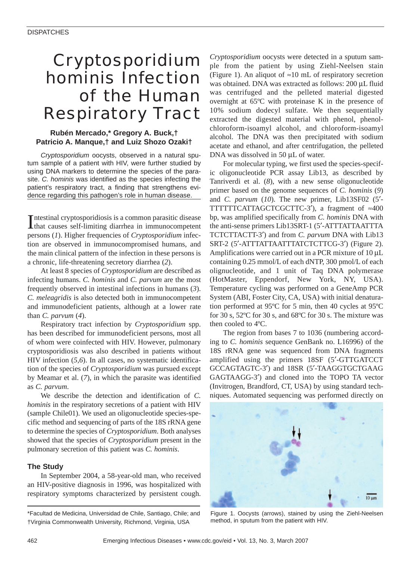# *Cryptosporidium hominis* Infection of the Human Respiratory Tract

# **Rubén Mercado,\* Gregory A. Buck,† Patricio A. Manque,† and Luiz Shozo Ozaki†**

*Cryptosporidium* oocysts, observed in a natural sputum sample of a patient with HIV, were further studied by using DNA markers to determine the species of the parasite. *C. hominis* was identified as the species infecting the patient's respiratory tract, a finding that strengthens evidence regarding this pathogen's role in human disease.

Intestinal cryptosporidiosis is a common parasitic disease<br>that causes self-limiting diarrhea in immunocompetent ntestinal cryptosporidiosis is a common parasitic disease persons (*1*). Higher frequencies of *Cryptosporidium* infection are observed in immunocompromised humans, and the main clinical pattern of the infection in these persons is a chronic, life-threatening secretory diarrhea (*2*).

At least 8 species of *Cryptosporidium* are described as infecting humans. *C. hominis* and *C. parvum* are the most frequently observed in intestinal infections in humans (*3*). *C. meleagridis* is also detected both in immunocompetent and immunodeficient patients, although at a lower rate than *C. parvum* (*4*).

Respiratory tract infection by *Cryptosporidium* spp. has been described for immunodeficient persons, most all of whom were coinfected with HIV. However, pulmonary cryptosporidiosis was also described in patients without HIV infection (*5,6*). In all cases, no systematic identification of the species of *Cryptosporidium* was pursued except by Meamar et al. (*7*), in which the parasite was identified as *C. parvum*.

We describe the detection and identification of *C. hominis* in the respiratory secretions of a patient with HIV (sample Chile01). We used an oligonucleotide species-specific method and sequencing of parts of the 18S rRNA gene to determine the species of *Cryptosporidium*. Both analyses showed that the species of *Cryptosporidium* present in the pulmonary secretion of this patient was *C. hominis*.

# **The Study**

In September 2004, a 58-year-old man, who received an HIV-positive diagnosis in 1996, was hospitalized with respiratory symptoms characterized by persistent cough.

*Cryptosporidium* oocysts were detected in a sputum sample from the patient by using Ziehl-Neelsen stain (Figure 1). An aliquot of ≈10 mL of respiratory secretion was obtained. DNA was extracted as follows: 200 µL fluid was centrifuged and the pelleted material digested overnight at 65ºC with proteinase K in the presence of 10% sodium dodecyl sulfate. We then sequentially extracted the digested material with phenol, phenolchloroform-isoamyl alcohol, and chloroform-isoamyl alcohol. The DNA was then precipitated with sodium acetate and ethanol, and after centrifugation, the pelleted DNA was dissolved in 50 µL of water.

For molecular typing, we first used the species-specific oligonucleotide PCR assay Lib13, as described by Tanriverdi et al. (*8*), with a new sense oligonucleotide primer based on the genome sequences of *C. hominis* (*9*) and *C. parvum* (*10*). The new primer, Lib13SF02 (5′- TTTTTTCATTAGCTCGCTTC-3′), a fragment of ≈400 bp, was amplified specifically from *C. hominis* DNA with the anti-sense primers Lib13SRT-1 (5′-ATTTATTAATTTA TCTCTTACTT-3′) and from *C. parvum* DNA with Lib13 SRT-2 (5′-ATTTATTAATTTATCTCTTCG-3′) (Figure 2). Amplifications were carried out in a PCR mixture of 10 µL containing 0.25 mmol/L of each dNTP, 300 pmol/L of each olignucleotide, and 1 unit of Taq DNA polymerase (HotMaster, Eppendorf, New York, NY, USA). Temperature cycling was performed on a GeneAmp PCR System (ABI, Foster City, CA, USA) with initial denaturation performed at 95ºC for 5 min, then 40 cycles at 95ºC for 30 s, 52ºC for 30 s, and 68ºC for 30 s. The mixture was then cooled to 4ºC.

The region from bases 7 to 1036 (numbering according to *C. hominis* sequence GenBank no. L16996) of the 18S rRNA gene was sequenced from DNA fragments amplified using the primers 18SF (5′-GTTGATCCT GCCAGTAGTC-3′) and 18SR (5′-TAAGGTGCTGAAG GAGTAAGG-3′) and cloned into the TOPO TA vector (Invitrogen, Brandford, CT, USA) by using standard techniques. Automated sequencing was performed directly on



Figure 1. Oocysts (arrows), stained by using the Ziehl-Neelsen method, in sputum from the patient with HIV.

<sup>\*</sup>Facultad de Medicina, Universidad de Chile, Santiago, Chile; and †Virginia Commonwealth University, Richmond, Virginia, USA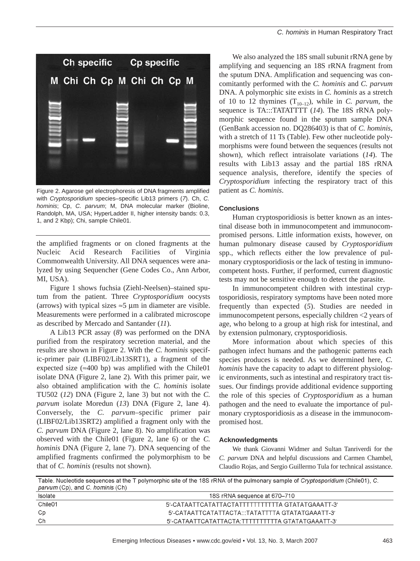Figure 2. Agarose gel electrophoresis of DNA fragments amplified with *Cryptosporidium* species–specific Lib13 primers (*7*). Ch, *C. hominis*; Cp, *C. parvum*; M, DNA molecular marker (Bioline, Randolph, MA, USA; HyperLadder II, higher intensity bands: 0.3, 1, and 2 Kbp); Chi, sample Chile01.

the amplified fragments or on cloned fragments at the Nucleic Acid Research Facilities of Virginia Commonwealth University. All DNA sequences were analyzed by using Sequencher (Gene Codes Co., Ann Arbor, MI, USA).

Figure 1 shows fuchsia (Ziehl-Neelsen)–stained sputum from the patient. Three *Cryptosporidium* oocysts (arrows) with typical sizes  $\approx$ 5 µm in diameter are visible. Measurements were performed in a calibrated microscope as described by Mercado and Santander (*11*).

A Lib13 PCR assay (*8*) was performed on the DNA purified from the respiratory secretion material, and the results are shown in Figure 2. With the *C. hominis* specific-primer pair (LIBF02/Lib13SRT1), a fragment of the expected size ( $\approx$ 400 bp) was amplified with the Chile01 isolate DNA (Figure 2, lane 2). With this primer pair, we also obtained amplification with the *C. hominis* isolate TU502 (*12*) DNA (Figure 2, lane 3) but not with the *C. parvum* isolate Moredun (*13*) DNA (Figure 2, lane 4). Conversely, the *C. parvum*–specific primer pair (LIBF02/Lib13SRT2) amplified a fragment only with the *C. parvum* DNA (Figure 2, lane 8). No amplification was observed with the Chile01 (Figure 2, lane 6) or the *C. hominis* DNA (Figure 2, lane 7). DNA sequencing of the amplified fragments confirmed the polymorphism to be that of *C. hominis* (results not shown).

We also analyzed the 18S small subunit rRNA gene by amplifying and sequencing an 18S rRNA fragment from the sputum DNA. Amplification and sequencing was concomitantly performed with the *C. hominis* and *C. parvum* DNA. A polymorphic site exists in *C. hominis* as a stretch of 10 to 12 thymines  $(T_{10-12})$ , while in *C. parvum*, the sequence is TA:::TATATTTT (*14*). The 18S rRNA polymorphic sequence found in the sputum sample DNA (GenBank accession no. DQ286403) is that of *C. hominis*, with a stretch of 11 Ts (Table). Few other nucleotide polymorphisms were found between the sequences (results not shown), which reflect intraisolate variations (*14*). The results with Lib13 assay and the partial 18S rRNA sequence analysis, therefore, identify the species of *Cryptosporidium* infecting the respiratory tract of this patient as *C. hominis*.

### **Conclusions**

Human cryptosporidiosis is better known as an intestinal disease both in immunocompetent and immunocompromised persons. Little information exists, however, on human pulmonary disease caused by *Cryptosporidium* spp., which reflects either the low prevalence of pulmonary cryptosporidiosis or the lack of testing in immunocompetent hosts. Further, if performed, current diagnostic tests may not be sensitive enough to detect the parasite.

In immunocompetent children with intestinal cryptosporidiosis, respiratory symptoms have been noted more frequently than expected (*5*). Studies are needed in immunocompetent persons, especially children <2 years of age, who belong to a group at high risk for intestinal, and by extension pulmonary, cryptosporidiosis.

More information about which species of this pathogen infect humans and the pathogenic patterns each species produces is needed. As we determined here, *C. hominis* have the capacity to adapt to different physiologic environments, such as intestinal and respiratory tract tissues. Our findings provide additional evidence supporting the role of this species of *Cryptosporidium* as a human pathogen and the need to evaluate the importance of pulmonary cryptosporidiosis as a disease in the immunocompromised host.

### **Acknowledgments**

We thank Giovanni Widmer and Sultan Tanriverdi for the *C. parvum* DNA and helpful discussions and Carmen Chambel, Claudio Rojas, and Sergio Guillermo Tula for technical assistance.

Table. Nucleotide sequences at the T polymorphic site of the 18S rRNA of the pulmonary sample of Cryptosporidium (Chile01), C. parvum (Cp), and C. hominis (Ch)

| Isolate | 18S rRNA sequence at 670–710                     |
|---------|--------------------------------------------------|
| Chile01 | 5'-CATAATTCATATTACTATTTTTTTTTTTA GTATATGAAATT-3' |
| Сp      | 5'-CATAATTCATATTACTA:::TATATTTTA GTATATGAAATT-3' |
| Ch      | 5'-CATAATTCATATTACTA:TTTTTTTTTTA GTATATGAAATT-3' |
|         |                                                  |